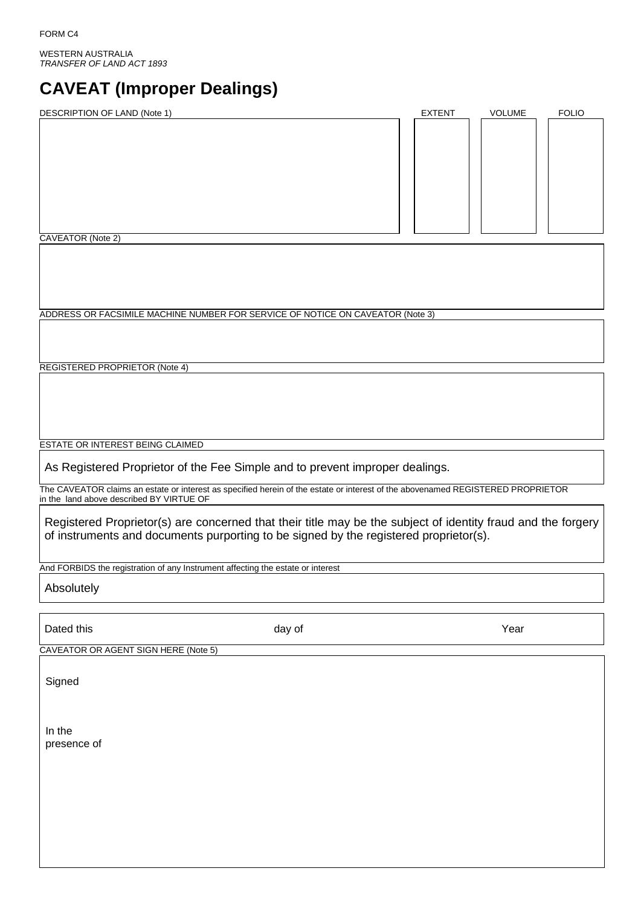WESTERN AUSTRALIA *TRANSFER OF LAND ACT 1893* 

# **CAVEAT (Improper Dealings)**

| DESCRIPTION OF LAND (Note 1)                                                   | <b>EXTENT</b> | VOLUME | <b>FOLIO</b> |
|--------------------------------------------------------------------------------|---------------|--------|--------------|
|                                                                                |               |        |              |
|                                                                                |               |        |              |
|                                                                                |               |        |              |
|                                                                                |               |        |              |
|                                                                                |               |        |              |
|                                                                                |               |        |              |
|                                                                                |               |        |              |
|                                                                                |               |        |              |
| <b>CAVEATOR (Note 2)</b>                                                       |               |        |              |
|                                                                                |               |        |              |
|                                                                                |               |        |              |
|                                                                                |               |        |              |
|                                                                                |               |        |              |
| ADDRESS OR FACSIMILE MACHINE NUMBER FOR SERVICE OF NOTICE ON CAVEATOR (Note 3) |               |        |              |
|                                                                                |               |        |              |
|                                                                                |               |        |              |
|                                                                                |               |        |              |
|                                                                                |               |        |              |
| REGISTERED PROPRIETOR (Note 4)                                                 |               |        |              |
|                                                                                |               |        |              |
|                                                                                |               |        |              |

ESTATE OR INTEREST BEING CLAIMED

As Registered Proprietor of the Fee Simple and to prevent improper dealings.

The CAVEATOR claims an estate or interest as specified herein of the estate or interest of the abovenamed REGISTERED PROPRIETOR in the land above described BY VIRTUE OF

Registered Proprietor(s) are concerned that their title may be the subject of identity fraud and the forgery of instruments and documents purporting to be signed by the registered proprietor(s).

And FORBIDS the registration of any Instrument affecting the estate or interest

Absolutely

Dated this and the Year of March 2012 and day of New Year of Year of The Year of The Year of The Year of The Year

CAVEATOR OR AGENT SIGN HERE (Note 5)

**Signed** 

In the presence of